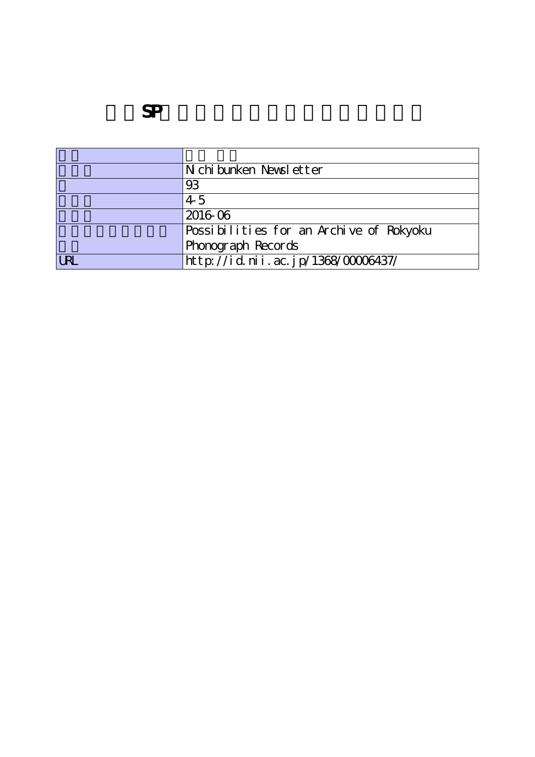|           | N chi bunken Newsl etter                |
|-----------|-----------------------------------------|
|           | 93                                      |
|           | $4-5$                                   |
|           | 2016-06                                 |
|           | Possibilities for an Archive of Rokyoku |
|           | Phonograph Records                      |
| <b>RI</b> | http://id.nii.ac.jp/1368/00006437/      |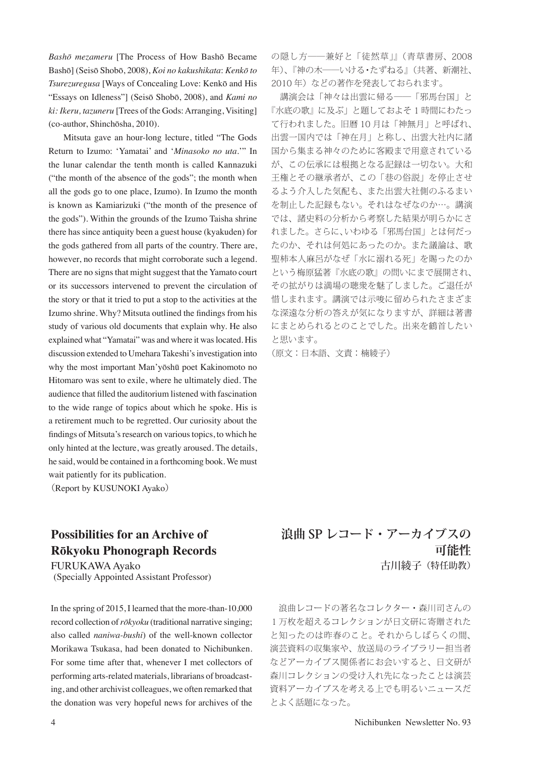*Bashō mezameru* [The Process of How Bashō Became Bashō] (Seisō Shobō, 2008), *Koi no kakushikata*: *Kenkō to Tsurezuregusa* [Ways of Concealing Love: Kenkō and His "Essays on Idleness"] (Seisō Shobō, 2008), and *Kami no ki: Ikeru, tazuneru* [Trees of the Gods: Arranging, Visiting] (co-author, Shinchōsha, 2010).

 Mitsuta gave an hour-long lecture, titled "The Gods Return to Izumo: 'Yamatai' and '*Minasoko no uta*.'" In the lunar calendar the tenth month is called Kannazuki ("the month of the absence of the gods"; the month when all the gods go to one place, Izumo). In Izumo the month is known as Kamiarizuki ("the month of the presence of the gods"). Within the grounds of the Izumo Taisha shrine there has since antiquity been a guest house (kyakuden) for the gods gathered from all parts of the country. There are, however, no records that might corroborate such a legend. There are no signs that might suggest that the Yamato court or its successors intervened to prevent the circulation of the story or that it tried to put a stop to the activities at the Izumo shrine. Why? Mitsuta outlined the findings from his study of various old documents that explain why. He also explained what "Yamatai" was and where it was located. His discussion extended to Umehara Takeshi's investigation into why the most important Man'yōshū poet Kakinomoto no Hitomaro was sent to exile, where he ultimately died. The audience that filled the auditorium listened with fascination to the wide range of topics about which he spoke. His is a retirement much to be regretted. Our curiosity about the findings of Mitsuta's research on various topics, to which he only hinted at the lecture, was greatly aroused. The details, he said, would be contained in a forthcoming book. We must wait patiently for its publication.

(Report by KUSUNOKI Ayako)

## **Possibilities for an Archive of Rōkyoku Phonograph Records**

FURUKAWA Ayako (Specially Appointed Assistant Professor)

In the spring of 2015, I learned that the more-than-10,000 record collection of *rōkyoku* (traditional narrative singing; also called *naniwa-bushi*) of the well-known collector Morikawa Tsukasa, had been donated to Nichibunken. For some time after that, whenever I met collectors of performing arts-related materials, librarians of broadcasting, and other archivist colleagues, we often remarked that the donation was very hopeful news for archives of the の隠し方――兼好と「徒然草」』(青草書房、2008 年)、『神の木――いける・たずねる』(共著、新潮社、 2010年)などの著作を発表しておられます。

 講演会は「神々は出雲に帰る――「邪馬台国」と 『水底の歌』に及ぶ」と題しておよそ 1 時間にわたっ て行われました。旧暦 10 月は「神無月」と呼ばれ、 出雲一国内では「神在月」と称し、出雲大社内に諸 国から集まる神々のために客殿まで用意されている が、この伝承には根拠となる記録は一切ない。大和 王権とその継承者が、この「巷の俗説」を停止させ るよう介入した気配も、また出雲大社側のふるまい を制止した記録もない。それはなぜなのか…。講演 では、諸史料の分析から考察した結果が明らかにさ れました。さらに、いわゆる「邪馬台国」とは何だっ たのか、それは何処にあったのか。また議論は、歌 聖柿本人麻呂がなぜ「水に溺れる死」を賜ったのか という梅原猛著『水底の歌』の問いにまで展開され、 その拡がりは満場の聴衆を魅了しました。ご退任が 惜しまれます。講演では示唆に留められたさまざま な深遠な分析の答えが気になりますが、詳細は著書 にまとめられるとのことでした。出来を鶴首したい と思います。

(原文:日本語、文責:楠綾子)

## **浪曲 SP レコード・アーカイブスの 可能性** 古川綾子(特任助教)

 浪曲レコードの著名なコレクター・森川司さんの 1万枚を超えるコレクションが日文研に寄贈された と知ったのは昨春のこと。それからしばらくの間、 演芸資料の収集家や、放送局のライブラリー担当者 などアーカイブス関係者にお会いすると、日文研が 森川コレクションの受け入れ先になったことは演芸 資料アーカイブスを考える上でも明るいニュースだ とよく話題になった。